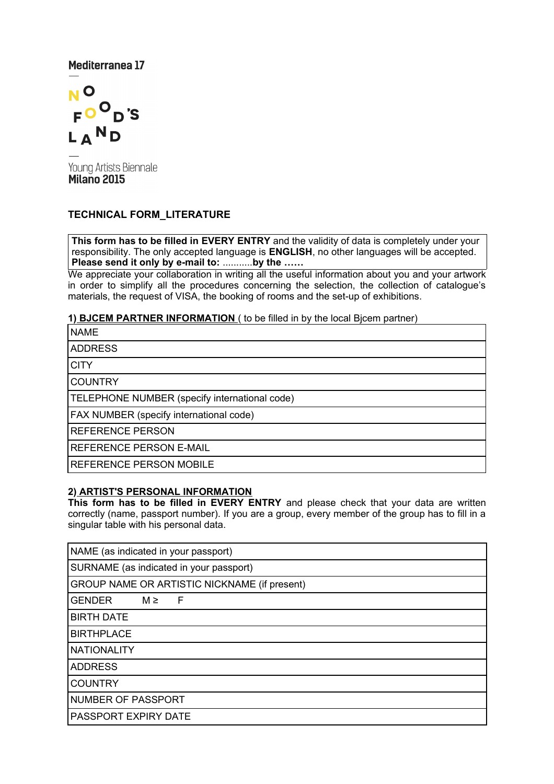# Mediterranea 17



Young Artists Biennale **Milano 2015** 

# **TECHNICAL FORM\_LITERATURE**

**This form has to be filled in EVERY ENTRY** and the validity of data is completely under your responsibility. The only accepted language is **ENGLISH**, no other languages will be accepted. **Please send it only by e-mail to:** ...........**by the ……**

We appreciate your collaboration in writing all the useful information about you and your artwork in order to simplify all the procedures concerning the selection, the collection of catalogue's materials, the request of VISA, the booking of rooms and the set-up of exhibitions.

**1) BJCEM PARTNER INFORMATION** ( to be filled in by the local Bjcem partner)

| <b>NAME</b>                                   |  |  |  |  |
|-----------------------------------------------|--|--|--|--|
| <b>ADDRESS</b>                                |  |  |  |  |
| <b>CITY</b>                                   |  |  |  |  |
| <b>COUNTRY</b>                                |  |  |  |  |
| TELEPHONE NUMBER (specify international code) |  |  |  |  |
| FAX NUMBER (specify international code)       |  |  |  |  |
| <b>REFERENCE PERSON</b>                       |  |  |  |  |
| <b>REFERENCE PERSON E-MAIL</b>                |  |  |  |  |
| REFERENCE PERSON MOBILE                       |  |  |  |  |

# **2) ARTIST'S PERSONAL INFORMATION**

**This form has to be filled in EVERY ENTRY** and please check that your data are written correctly (name, passport number). If you are a group, every member of the group has to fill in a singular table with his personal data.

| NAME (as indicated in your passport)         |  |  |  |  |  |
|----------------------------------------------|--|--|--|--|--|
| SURNAME (as indicated in your passport)      |  |  |  |  |  |
| GROUP NAME OR ARTISTIC NICKNAME (if present) |  |  |  |  |  |
| <b>GENDER</b><br>F<br>$M \geq$               |  |  |  |  |  |
| <b>BIRTH DATE</b>                            |  |  |  |  |  |
| <b>BIRTHPLACE</b>                            |  |  |  |  |  |
| <b>NATIONALITY</b>                           |  |  |  |  |  |
| <b>ADDRESS</b>                               |  |  |  |  |  |
| <b>COUNTRY</b>                               |  |  |  |  |  |
| <b>NUMBER OF PASSPORT</b>                    |  |  |  |  |  |
| PASSPORT EXPIRY DATE                         |  |  |  |  |  |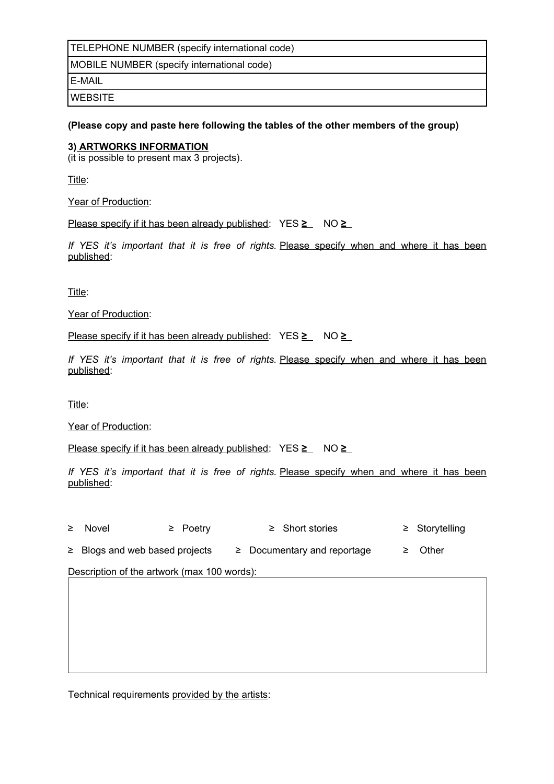TELEPHONE NUMBER (specify international code)

MOBILE NUMBER (specify international code)

E-MAIL

**WEBSITE** 

#### **(Please copy and paste here following the tables of the other members of the group)**

#### **3) ARTWORKS INFORMATION**

(it is possible to present max 3 projects).

Title:

Year of Production:

Please specify if it has been already published:  $YES \geq NO \geq$ 

*If YES it's important that it is free of rights.* Please specify when and where it has been published:

Title:

Year of Production:

Please specify if it has been already published:  $YES \geq NO \geq N$ 

*If YES it's important that it is free of rights.* Please specify when and where it has been published:

Title:

Year of Production:

Please specify if it has been already published:  $YES \geq NO \geq$ 

*If YES it's important that it is free of rights.* Please specify when and where it has been published:

| $\geq$ Novel | $\geq$ Poetry | $\geq$ Short stories | $\geq$ Storytelling |
|--------------|---------------|----------------------|---------------------|
|              |               |                      |                     |

 $\geq$  Blogs and web based projects  $\geq$  Documentary and reportage  $\geq$  Other

Description of the artwork (max 100 words):

Technical requirements provided by the artists: